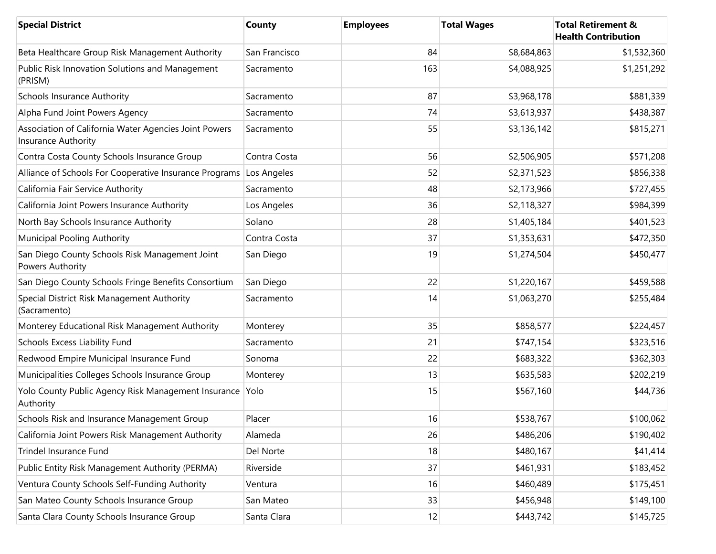| <b>Special District</b>                                                      | County        | <b>Employees</b> | <b>Total Wages</b> | <b>Total Retirement &amp;</b><br><b>Health Contribution</b> |
|------------------------------------------------------------------------------|---------------|------------------|--------------------|-------------------------------------------------------------|
| Beta Healthcare Group Risk Management Authority                              | San Francisco | 84               | \$8,684,863        | \$1,532,360                                                 |
| Public Risk Innovation Solutions and Management<br>(PRISM)                   | Sacramento    | 163              | \$4,088,925        | \$1,251,292                                                 |
| <b>Schools Insurance Authority</b>                                           | Sacramento    | 87               | \$3,968,178        | \$881,339                                                   |
| Alpha Fund Joint Powers Agency                                               | Sacramento    | 74               | \$3,613,937        | \$438,387                                                   |
| Association of California Water Agencies Joint Powers<br>Insurance Authority | Sacramento    | 55               | \$3,136,142        | \$815,271                                                   |
| Contra Costa County Schools Insurance Group                                  | Contra Costa  | 56               | \$2,506,905        | \$571,208                                                   |
| Alliance of Schools For Cooperative Insurance Programs Los Angeles           |               | 52               | \$2,371,523        | \$856,338                                                   |
| California Fair Service Authority                                            | Sacramento    | 48               | \$2,173,966        | \$727,455                                                   |
| California Joint Powers Insurance Authority                                  | Los Angeles   | 36               | \$2,118,327        | \$984,399                                                   |
| North Bay Schools Insurance Authority                                        | Solano        | 28               | \$1,405,184        | \$401,523                                                   |
| <b>Municipal Pooling Authority</b>                                           | Contra Costa  | 37               | \$1,353,631        | \$472,350                                                   |
| San Diego County Schools Risk Management Joint<br>Powers Authority           | San Diego     | 19               | \$1,274,504        | \$450,477                                                   |
| San Diego County Schools Fringe Benefits Consortium                          | San Diego     | 22               | \$1,220,167        | \$459,588                                                   |
| Special District Risk Management Authority<br>(Sacramento)                   | Sacramento    | 14               | \$1,063,270        | \$255,484                                                   |
| Monterey Educational Risk Management Authority                               | Monterey      | 35               | \$858,577          | \$224,457                                                   |
| Schools Excess Liability Fund                                                | Sacramento    | 21               | \$747,154          | \$323,516                                                   |
| Redwood Empire Municipal Insurance Fund                                      | Sonoma        | 22               | \$683,322          | \$362,303                                                   |
| Municipalities Colleges Schools Insurance Group                              | Monterey      | 13               | \$635,583          | \$202,219                                                   |
| Yolo County Public Agency Risk Management Insurance<br>Authority             | Yolo          | 15               | \$567,160          | \$44,736                                                    |
| Schools Risk and Insurance Management Group                                  | Placer        | 16               | \$538,767          | \$100,062                                                   |
| California Joint Powers Risk Management Authority                            | Alameda       | 26               | \$486,206          | \$190,402                                                   |
| Trindel Insurance Fund                                                       | Del Norte     | 18               | \$480,167          | \$41,414                                                    |
| Public Entity Risk Management Authority (PERMA)                              | Riverside     | 37               | \$461,931          | \$183,452                                                   |
| Ventura County Schools Self-Funding Authority                                | Ventura       | 16               | \$460,489          | \$175,451                                                   |
| San Mateo County Schools Insurance Group                                     | San Mateo     | 33               | \$456,948          | \$149,100                                                   |
| Santa Clara County Schools Insurance Group                                   | Santa Clara   | 12               | \$443,742          | \$145,725                                                   |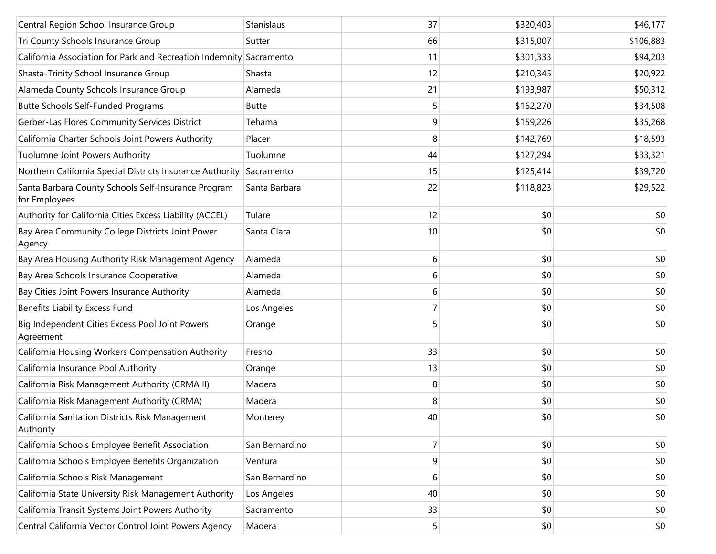| Central Region School Insurance Group                                | Stanislaus     | 37 | \$320,403 | \$46,177  |
|----------------------------------------------------------------------|----------------|----|-----------|-----------|
| Tri County Schools Insurance Group                                   | Sutter         | 66 | \$315,007 | \$106,883 |
| California Association for Park and Recreation Indemnity Sacramento  |                | 11 | \$301,333 | \$94,203  |
| Shasta-Trinity School Insurance Group                                | Shasta         | 12 | \$210,345 | \$20,922  |
| Alameda County Schools Insurance Group                               | Alameda        | 21 | \$193,987 | \$50,312  |
| Butte Schools Self-Funded Programs                                   | <b>Butte</b>   | 5  | \$162,270 | \$34,508  |
| Gerber-Las Flores Community Services District                        | Tehama         | 9  | \$159,226 | \$35,268  |
| California Charter Schools Joint Powers Authority                    | Placer         | 8  | \$142,769 | \$18,593  |
| Tuolumne Joint Powers Authority                                      | Tuolumne       | 44 | \$127,294 | \$33,321  |
| Northern California Special Districts Insurance Authority            | Sacramento     | 15 | \$125,414 | \$39,720  |
| Santa Barbara County Schools Self-Insurance Program<br>for Employees | Santa Barbara  | 22 | \$118,823 | \$29,522  |
| Authority for California Cities Excess Liability (ACCEL)             | Tulare         | 12 | \$0       | \$0       |
| Bay Area Community College Districts Joint Power<br>Agency           | Santa Clara    | 10 | \$0       | \$0       |
| Bay Area Housing Authority Risk Management Agency                    | Alameda        | 6  | \$0       | \$0       |
| Bay Area Schools Insurance Cooperative                               | Alameda        | 6  | \$0       | \$0       |
| Bay Cities Joint Powers Insurance Authority                          | Alameda        | 6  | \$0       | \$0       |
| Benefits Liability Excess Fund                                       | Los Angeles    | 7  | \$0       | \$0       |
| Big Independent Cities Excess Pool Joint Powers<br>Agreement         | Orange         | 5  | \$0       | \$0       |
| California Housing Workers Compensation Authority                    | Fresno         | 33 | \$0       | \$0       |
| California Insurance Pool Authority                                  | Orange         | 13 | \$0       | \$0       |
| California Risk Management Authority (CRMA II)                       | Madera         | 8  | \$0       | \$0       |
| California Risk Management Authority (CRMA)                          | Madera         | 8  | \$0       | \$0       |
| California Sanitation Districts Risk Management<br>Authority         | Monterey       | 40 | \$0       | \$0       |
| California Schools Employee Benefit Association                      | San Bernardino | 7  | \$0       | \$0       |
| California Schools Employee Benefits Organization                    | Ventura        | 9  | \$0       | \$0       |
| California Schools Risk Management                                   | San Bernardino | 6  | \$0       | \$0       |
| California State University Risk Management Authority                | Los Angeles    | 40 | \$0       | \$0       |
| California Transit Systems Joint Powers Authority                    | Sacramento     | 33 | \$0       | \$0       |
| Central California Vector Control Joint Powers Agency                | Madera         | 5  | \$0       | \$0       |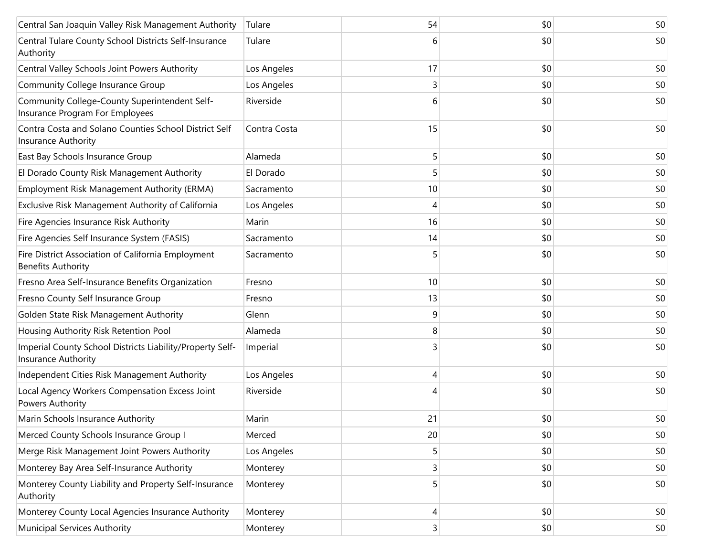| Central San Joaquin Valley Risk Management Authority                             | Tulare       | 54 | \$0 | \$0 |
|----------------------------------------------------------------------------------|--------------|----|-----|-----|
| Central Tulare County School Districts Self-Insurance<br>Authority               | Tulare       | 6  | \$0 | \$0 |
| Central Valley Schools Joint Powers Authority                                    | Los Angeles  | 17 | \$0 | \$0 |
| Community College Insurance Group                                                | Los Angeles  | 3  | \$0 | \$0 |
| Community College-County Superintendent Self-<br>Insurance Program For Employees | Riverside    | 6  | \$0 | \$0 |
| Contra Costa and Solano Counties School District Self<br>Insurance Authority     | Contra Costa | 15 | \$0 | \$0 |
| East Bay Schools Insurance Group                                                 | Alameda      | 5  | \$0 | \$0 |
| El Dorado County Risk Management Authority                                       | El Dorado    | 5  | \$0 | \$0 |
| Employment Risk Management Authority (ERMA)                                      | Sacramento   | 10 | \$0 | \$0 |
| Exclusive Risk Management Authority of California                                | Los Angeles  | 4  | \$0 | \$0 |
| Fire Agencies Insurance Risk Authority                                           | Marin        | 16 | \$0 | \$0 |
| Fire Agencies Self Insurance System (FASIS)                                      | Sacramento   | 14 | \$0 | \$0 |
| Fire District Association of California Employment<br><b>Benefits Authority</b>  | Sacramento   |    | \$0 | \$0 |
| Fresno Area Self-Insurance Benefits Organization                                 | Fresno       | 10 | \$0 | \$0 |
| Fresno County Self Insurance Group                                               | Fresno       | 13 | \$0 | \$0 |
| Golden State Risk Management Authority                                           | Glenn        | 9  | \$0 | \$0 |
| Housing Authority Risk Retention Pool                                            | Alameda      | 8  | \$0 | \$0 |
| Imperial County School Districts Liability/Property Self-<br>Insurance Authority | Imperial     | 3  | \$0 | \$0 |
| Independent Cities Risk Management Authority                                     | Los Angeles  | 4  | \$0 | \$0 |
| Local Agency Workers Compensation Excess Joint<br>Powers Authority               | Riverside    |    | \$0 | \$0 |
| Marin Schools Insurance Authority                                                | Marin        | 21 | \$0 | \$0 |
| Merced County Schools Insurance Group I                                          | Merced       | 20 | \$0 | \$0 |
| Merge Risk Management Joint Powers Authority                                     | Los Angeles  | 5  | \$0 | \$0 |
| Monterey Bay Area Self-Insurance Authority                                       | Monterey     | 3  | \$0 | \$0 |
| Monterey County Liability and Property Self-Insurance<br>Authority               | Monterey     | 5  | \$0 | \$0 |
| Monterey County Local Agencies Insurance Authority                               | Monterey     | 4  | \$0 | \$0 |
| <b>Municipal Services Authority</b>                                              | Monterey     | 3  | \$0 | \$0 |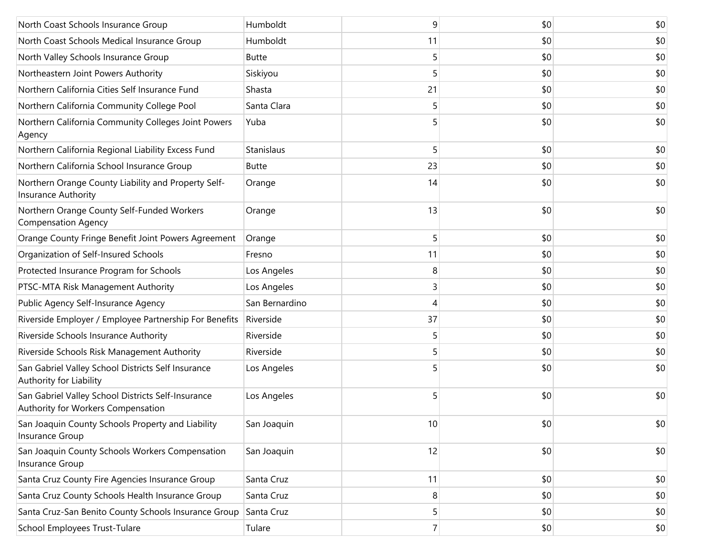| North Coast Schools Insurance Group                                                      | Humboldt       | 9              | \$0 | \$0 |
|------------------------------------------------------------------------------------------|----------------|----------------|-----|-----|
| North Coast Schools Medical Insurance Group                                              | Humboldt       | 11             | \$0 | \$0 |
| North Valley Schools Insurance Group                                                     | <b>Butte</b>   | 5              | \$0 | \$0 |
| Northeastern Joint Powers Authority                                                      | Siskiyou       | 5              | \$0 | \$0 |
| Northern California Cities Self Insurance Fund                                           | Shasta         | 21             | \$0 | \$0 |
| Northern California Community College Pool                                               | Santa Clara    | 5              | \$0 | \$0 |
| Northern California Community Colleges Joint Powers<br>Agency                            | Yuba           | 5              | \$0 | \$0 |
| Northern California Regional Liability Excess Fund                                       | Stanislaus     | 5              | \$0 | \$0 |
| Northern California School Insurance Group                                               | <b>Butte</b>   | 23             | \$0 | \$0 |
| Northern Orange County Liability and Property Self-<br><b>Insurance Authority</b>        | Orange         | 14             | \$0 | \$0 |
| Northern Orange County Self-Funded Workers<br><b>Compensation Agency</b>                 | Orange         | 13             | \$0 | \$0 |
| Orange County Fringe Benefit Joint Powers Agreement                                      | Orange         | 5              | \$0 | \$0 |
| Organization of Self-Insured Schools                                                     | Fresno         | 11             | \$0 | \$0 |
| Protected Insurance Program for Schools                                                  | Los Angeles    | 8              | \$0 | \$0 |
| PTSC-MTA Risk Management Authority                                                       | Los Angeles    | 3              | \$0 | \$0 |
| Public Agency Self-Insurance Agency                                                      | San Bernardino | 4              | \$0 | \$0 |
| Riverside Employer / Employee Partnership For Benefits                                   | Riverside      | 37             | \$0 | \$0 |
| Riverside Schools Insurance Authority                                                    | Riverside      | 5              | \$0 | \$0 |
| Riverside Schools Risk Management Authority                                              | Riverside      | 5              | \$0 | \$0 |
| San Gabriel Valley School Districts Self Insurance<br>Authority for Liability            | Los Angeles    |                | \$0 | \$0 |
| San Gabriel Valley School Districts Self-Insurance<br>Authority for Workers Compensation | Los Angeles    | 5              | \$0 | \$0 |
| San Joaquin County Schools Property and Liability<br>Insurance Group                     | San Joaquin    | 10             | \$0 | \$0 |
| San Joaquin County Schools Workers Compensation<br>Insurance Group                       | San Joaquin    | 12             | \$0 | \$0 |
| Santa Cruz County Fire Agencies Insurance Group                                          | Santa Cruz     | 11             | \$0 | \$0 |
| Santa Cruz County Schools Health Insurance Group                                         | Santa Cruz     | 8              | \$0 | \$0 |
| Santa Cruz-San Benito County Schools Insurance Group                                     | Santa Cruz     | 5              | \$0 | \$0 |
| School Employees Trust-Tulare                                                            | Tulare         | 7 <sup>1</sup> | \$0 | \$0 |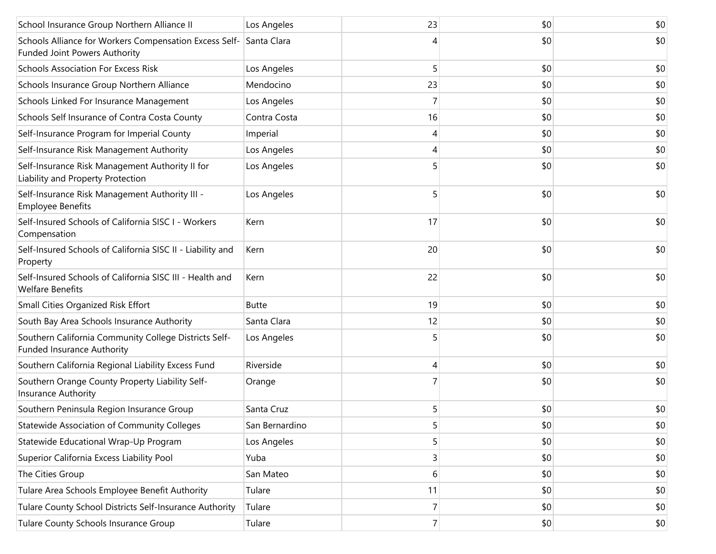| School Insurance Group Northern Alliance II                                                | Los Angeles    | 23             | \$0 | \$0 |
|--------------------------------------------------------------------------------------------|----------------|----------------|-----|-----|
| Schools Alliance for Workers Compensation Excess Self-<br>Funded Joint Powers Authority    | Santa Clara    | 4              | \$0 | \$0 |
| <b>Schools Association For Excess Risk</b>                                                 | Los Angeles    | 5              | \$0 | \$0 |
| Schools Insurance Group Northern Alliance                                                  | Mendocino      | 23             | \$0 | \$0 |
| Schools Linked For Insurance Management                                                    | Los Angeles    | 7              | \$0 | \$0 |
| Schools Self Insurance of Contra Costa County                                              | Contra Costa   | 16             | \$0 | \$0 |
| Self-Insurance Program for Imperial County                                                 | Imperial       | 4              | \$0 | \$0 |
| Self-Insurance Risk Management Authority                                                   | Los Angeles    | 4              | \$0 | \$0 |
| Self-Insurance Risk Management Authority II for<br>Liability and Property Protection       | Los Angeles    | 5              | \$0 | \$0 |
| Self-Insurance Risk Management Authority III -<br><b>Employee Benefits</b>                 | Los Angeles    | 5              | \$0 | \$0 |
| Self-Insured Schools of California SISC I - Workers<br>Compensation                        | Kern           | 17             | \$0 | \$0 |
| Self-Insured Schools of California SISC II - Liability and<br>Property                     | Kern           | 20             | \$0 | \$0 |
| Self-Insured Schools of California SISC III - Health and<br><b>Welfare Benefits</b>        | Kern           | 22             | \$0 | \$0 |
| Small Cities Organized Risk Effort                                                         | <b>Butte</b>   | 19             | \$0 | \$0 |
| South Bay Area Schools Insurance Authority                                                 | Santa Clara    | 12             | \$0 | \$0 |
| Southern California Community College Districts Self-<br><b>Funded Insurance Authority</b> | Los Angeles    | 5              | \$0 | \$0 |
| Southern California Regional Liability Excess Fund                                         | Riverside      | 4              | \$0 | \$0 |
| Southern Orange County Property Liability Self-<br>Insurance Authority                     | Orange         |                | \$0 | \$0 |
| Southern Peninsula Region Insurance Group                                                  | Santa Cruz     | 5              | \$0 | \$0 |
| Statewide Association of Community Colleges                                                | San Bernardino | 5              | \$0 | \$0 |
| Statewide Educational Wrap-Up Program                                                      | Los Angeles    | 5              | \$0 | \$0 |
| Superior California Excess Liability Pool                                                  | Yuba           | 3              | \$0 | \$0 |
| The Cities Group                                                                           | San Mateo      | 6              | \$0 | \$0 |
| Tulare Area Schools Employee Benefit Authority                                             | Tulare         | 11             | \$0 | \$0 |
| Tulare County School Districts Self-Insurance Authority                                    | Tulare         | 7              | \$0 | \$0 |
| Tulare County Schools Insurance Group                                                      | Tulare         | 7 <sup>1</sup> | \$0 | \$0 |